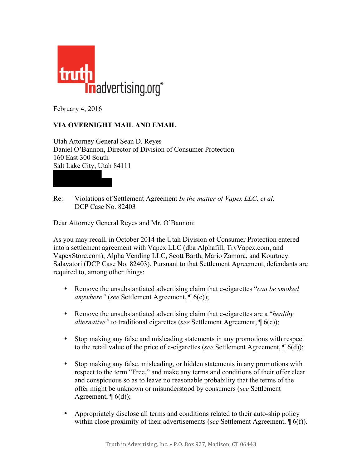

February 4, 2016

## **VIA OVERNIGHT MAIL AND EMAIL**

Utah Attorney General Sean D. Reyes Daniel O'Bannon, Director of Division of Consumer Protection 160 East 300 South Salt Lake City, Utah 84111

Re: Violations of Settlement Agreement *In the matter of Vapex LLC, et al.*  DCP Case No. 82403

Dear Attorney General Reyes and Mr. O'Bannon:

As you may recall, in October 2014 the Utah Division of Consumer Protection entered into a settlement agreement with Vapex LLC (dba Alphafill, TryVapex.com, and VapexStore.com), Alpha Vending LLC, Scott Barth, Mario Zamora, and Kourtney Salavatori (DCP Case No. 82403). Pursuant to that Settlement Agreement, defendants are required to, among other things:

- Remove the unsubstantiated advertising claim that e-cigarettes "*can be smoked anywhere"* (*see* Settlement Agreement, ¶ 6(c));
- Remove the unsubstantiated advertising claim that e-cigarettes are a "*healthy alternative"* to traditional cigarettes (*see* Settlement Agreement, ¶ 6(c));
- Stop making any false and misleading statements in any promotions with respect to the retail value of the price of e-cigarettes (*see* Settlement Agreement, ¶ 6(d));
- Stop making any false, misleading, or hidden statements in any promotions with respect to the term "Free," and make any terms and conditions of their offer clear and conspicuous so as to leave no reasonable probability that the terms of the offer might be unknown or misunderstood by consumers (*see* Settlement Agreement,  $\P(6(d))$ ;
- Appropriately disclose all terms and conditions related to their auto-ship policy within close proximity of their advertisements (*see* Settlement Agreement, ¶ 6(f)).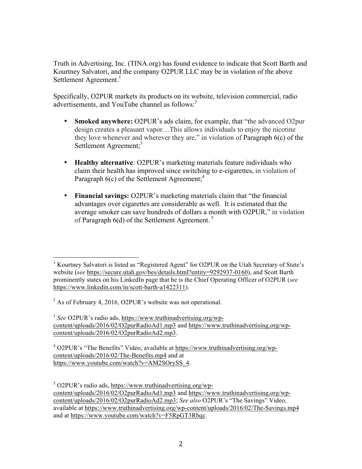Truth in Advertising, Inc. (TINA.org) has found evidence to indicate that Scott Barth and Kourtney Salvatori, and the company O2PUR LLC may be in violation of the above Settlement Agreement.<sup>1</sup>

Specifically, O2PUR markets its products on its website, television commercial, radio advertisements, and YouTube channel as follows: 2

- **Smoked anywhere:** O2PUR's ads claim, for example, that "the advanced O2pur design creates a pleasant vapor…This allows individuals to enjoy the nicotine they love whenever and wherever they are," in violation of Paragraph 6(c) of the Settlement Agreement;<sup>3</sup>
- **Healthy alternative**: O2PUR's marketing materials feature individuals who claim their health has improved since switching to e-cigarettes, in violation of Paragraph 6(c) of the Settlement Agreement;<sup>4</sup>
- **Financial savings:** O2PUR's marketing materials claim that "the financial advantages over cigarettes are considerable as well. It is estimated that the average smoker can save hundreds of dollars a month with O2PUR," in violation of Paragraph 6(d) of the Settlement Agreement.<sup>5</sup>

<sup>3</sup> *See* O2PUR's radio ads, https://www.truthinadvertising.org/wpcontent/uploads/2016/02/O2purRadioAd1.mp3 and https://www.truthinadvertising.org/wpcontent/uploads/2016/02/O2purRadioAd2.mp3.

 $4$  O2PUR's "The Benefits" Video, available at https://www.truthinadvertising.org/wpcontent/uploads/2016/02/The-Benefits.mp4 and at https://www.youtube.com/watch?v=AM2SOrySS\_4.

 $5$  O2PUR's radio ads, https://www.truthinadvertising.org/wpcontent/uploads/2016/02/O2purRadioAd1.mp3 and https://www.truthinadvertising.org/wpcontent/uploads/2016/02/O2purRadioAd2.mp3; *See also* O2PUR's "The Savings" Video, available at https://www.truthinadvertising.org/wp-content/uploads/2016/02/The-Savings.mp4 and at https://www.youtube.com/watch?v=F5RpGT3Rbqc.

 <sup>1</sup> Kourtney Salvatori is listed as "Registered Agent" for O2PUR on the Utah Secretary of State's website (*see* https://secure.utah.gov/bes/details.html?entity=9292937-0160), and Scott Barth prominently states on his LinkedIn page that he is the Chief Operating Officer of O2PUR (*see*  https://www.linkedin.com/in/scott-barth-a1422311).

 $^{2}$  As of February 4, 2016, O2PUR's website was not operational.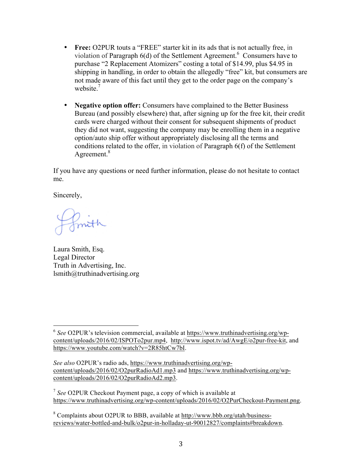- **Free:** O2PUR touts a "FREE" starter kit in its ads that is not actually free, in violation of Paragraph 6(d) of the Settlement Agreement. <sup>6</sup> Consumers have to purchase "2 Replacement Atomizers" costing a total of \$14.99, plus \$4.95 in shipping in handling, in order to obtain the allegedly "free" kit, but consumers are not made aware of this fact until they get to the order page on the company's website.<sup>7</sup>
- **Negative option offer:** Consumers have complained to the Better Business Bureau (and possibly elsewhere) that, after signing up for the free kit, their credit cards were charged without their consent for subsequent shipments of product they did not want, suggesting the company may be enrolling them in a negative option/auto ship offer without appropriately disclosing all the terms and conditions related to the offer, in violation of Paragraph 6(f) of the Settlement Agreement.<sup>8</sup>

If you have any questions or need further information, please do not hesitate to contact me.

Sincerely,

Laura Smith, Esq. Legal Director Truth in Advertising, Inc. lsmith@truthinadvertising.org

 

<sup>6</sup> *See* O2PUR's television commercial, available at https://www.truthinadvertising.org/wpcontent/uploads/2016/02/ISPOTo2pur.mp4, http://www.ispot.tv/ad/AwgE/o2pur-free-kit, and https://www.youtube.com/watch?v=2R85htCw7bI.

*See also* O2PUR's radio ads, https://www.truthinadvertising.org/wpcontent/uploads/2016/02/O2purRadioAd1.mp3 and https://www.truthinadvertising.org/wpcontent/uploads/2016/02/O2purRadioAd2.mp3.

<sup>7</sup> *See* O2PUR Checkout Payment page, a copy of which is available at https://www.truthinadvertising.org/wp-content/uploads/2016/02/O2PurCheckout-Payment.png.

<sup>8</sup> Complaints about O2PUR to BBB, available at http://www.bbb.org/utah/businessreviews/water-bottled-and-bulk/o2pur-in-holladay-ut-90012827/complaints#breakdown.